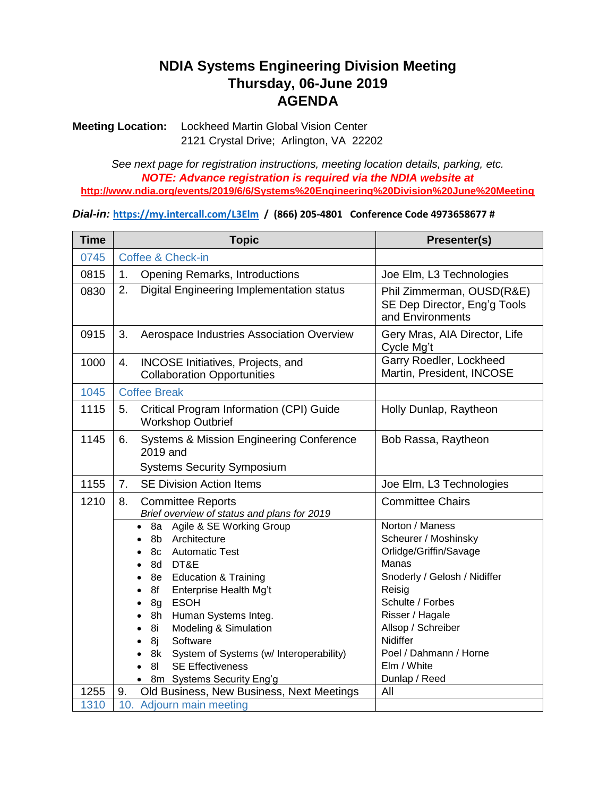## **NDIA Systems Engineering Division Meeting Thursday, 06-June 2019 AGENDA**

**Meeting Location:** Lockheed Martin Global Vision Center 2121 Crystal Drive; Arlington, VA 22202

*See next page for registration instructions, meeting location details, parking, etc. NOTE: Advance registration is required via the NDIA website at*  **<http://www.ndia.org/events/2019/6/6/Systems%20Engineering%20Division%20June%20Meeting>**

*Dial-in:* **<https://my.intercall.com/L3Elm>/ (866) 205-4801 Conference Code 4973658677 #**

| <b>Time</b> | <b>Topic</b>                                                                                               | Presenter(s)                                                                  |
|-------------|------------------------------------------------------------------------------------------------------------|-------------------------------------------------------------------------------|
| 0745        | <b>Coffee &amp; Check-in</b>                                                                               |                                                                               |
| 0815        | 1.<br><b>Opening Remarks, Introductions</b>                                                                | Joe Elm, L3 Technologies                                                      |
| 0830        | Digital Engineering Implementation status<br>2.                                                            | Phil Zimmerman, OUSD(R&E)<br>SE Dep Director, Eng'g Tools<br>and Environments |
| 0915        | 3.<br>Aerospace Industries Association Overview                                                            | Gery Mras, AIA Director, Life<br>Cycle Mg't                                   |
| 1000        | INCOSE Initiatives, Projects, and<br>4.<br><b>Collaboration Opportunities</b>                              | Garry Roedler, Lockheed<br>Martin, President, INCOSE                          |
| 1045        | <b>Coffee Break</b>                                                                                        |                                                                               |
| 1115        | Critical Program Information (CPI) Guide<br>5.<br><b>Workshop Outbrief</b>                                 | Holly Dunlap, Raytheon                                                        |
| 1145        | <b>Systems &amp; Mission Engineering Conference</b><br>6.<br>2019 and<br><b>Systems Security Symposium</b> | Bob Rassa, Raytheon                                                           |
| 1155        | <b>SE Division Action Items</b><br>7.                                                                      | Joe Elm, L3 Technologies                                                      |
| 1210        | <b>Committee Reports</b><br>8.<br>Brief overview of status and plans for 2019                              | <b>Committee Chairs</b>                                                       |
|             | Agile & SE Working Group<br>8a<br>$\bullet$                                                                | Norton / Maness                                                               |
|             | Architecture<br>8b                                                                                         | Scheurer / Moshinsky                                                          |
|             | <b>Automatic Test</b><br>8c                                                                                | Orlidge/Griffin/Savage<br>Manas                                               |
|             | DT&E<br>8d<br><b>Education &amp; Training</b><br>8e                                                        | Snoderly / Gelosh / Nidiffer                                                  |
|             | 8f<br>Enterprise Health Mg't                                                                               | Reisig                                                                        |
|             | <b>ESOH</b><br>8g<br>$\bullet$                                                                             | Schulte / Forbes                                                              |
|             | Human Systems Integ.<br>8h                                                                                 | Risser / Hagale                                                               |
|             | Modeling & Simulation<br>8i<br>$\bullet$                                                                   | Allsop / Schreiber                                                            |
|             | Software<br>8j<br>$\bullet$                                                                                | Nidiffer                                                                      |
|             | System of Systems (w/ Interoperability)<br>8k                                                              | Poel / Dahmann / Horne                                                        |
|             | <b>SE Effectiveness</b><br>8 <sub>l</sub>                                                                  | Elm / White                                                                   |
|             | 8m Systems Security Eng'g                                                                                  | Dunlap / Reed                                                                 |
| 1255        | Old Business, New Business, Next Meetings<br>9.                                                            | All                                                                           |
| 1310        | 10. Adjourn main meeting                                                                                   |                                                                               |